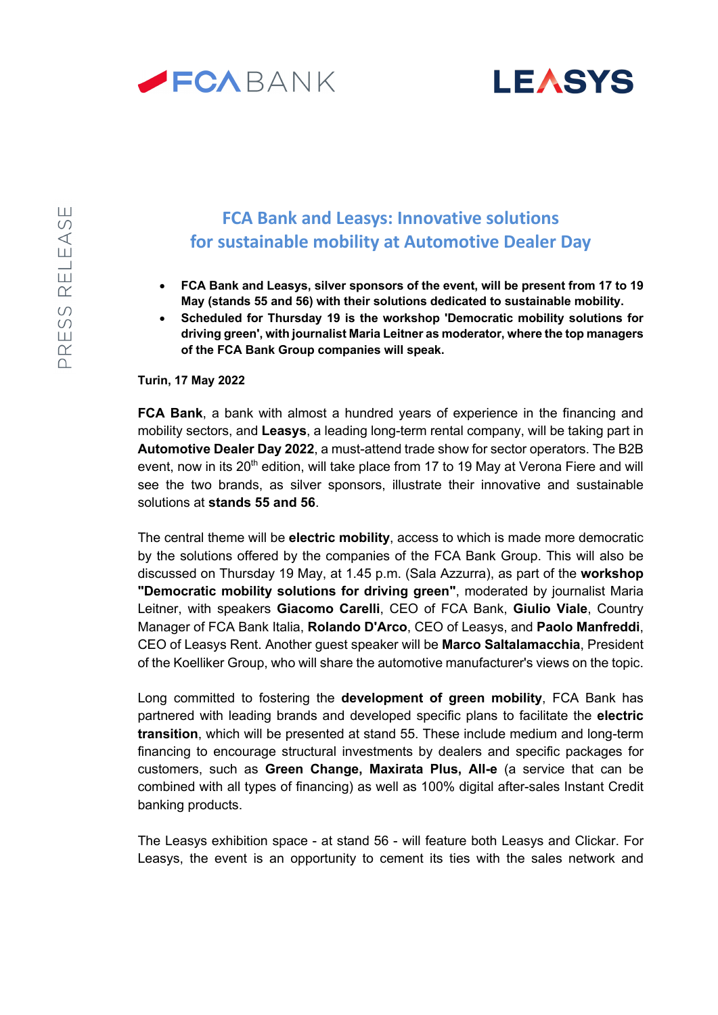



## **FCA Bank and Leasys: Innovative solutions for sustainable mobility at Automotive Dealer Day**

- **FCA Bank and Leasys, silver sponsors of the event, will be present from 17 to 19 May (stands 55 and 56) with their solutions dedicated to sustainable mobility.**
- **Scheduled for Thursday 19 is the workshop 'Democratic mobility solutions for driving green', with journalist Maria Leitner as moderator, where the top managers of the FCA Bank Group companies will speak.**

**Turin, 17 May 2022**

**FCA Bank**, a bank with almost a hundred years of experience in the financing and mobility sectors, and **Leasys**, a leading long-term rental company, will be taking part in **Automotive Dealer Day 2022**, a must-attend trade show for sector operators. The B2B event, now in its 20<sup>th</sup> edition, will take place from 17 to 19 May at Verona Fiere and will see the two brands, as silver sponsors, illustrate their innovative and sustainable solutions at **stands 55 and 56**.

The central theme will be **electric mobility**, access to which is made more democratic by the solutions offered by the companies of the FCA Bank Group. This will also be discussed on Thursday 19 May, at 1.45 p.m. (Sala Azzurra), as part of the **workshop "Democratic mobility solutions for driving green"**, moderated by journalist Maria Leitner, with speakers **Giacomo Carelli**, CEO of FCA Bank, **Giulio Viale**, Country Manager of FCA Bank Italia, **Rolando D'Arco**, CEO of Leasys, and **Paolo Manfreddi**, CEO of Leasys Rent. Another guest speaker will be **Marco Saltalamacchia**, President of the Koelliker Group, who will share the automotive manufacturer's views on the topic.

Long committed to fostering the **development of green mobility**, FCA Bank has partnered with leading brands and developed specific plans to facilitate the **electric transition**, which will be presented at stand 55. These include medium and long-term financing to encourage structural investments by dealers and specific packages for customers, such as **Green Change, Maxirata Plus, All-e** (a service that can be combined with all types of financing) as well as 100% digital after-sales Instant Credit banking products.

The Leasys exhibition space - at stand 56 - will feature both Leasys and Clickar. For Leasys, the event is an opportunity to cement its ties with the sales network and